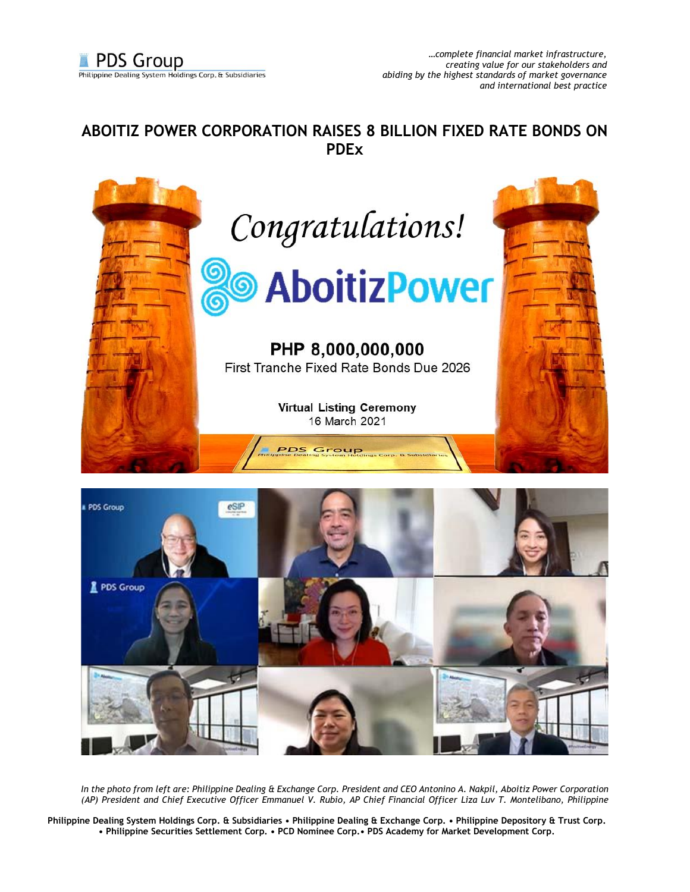## **ABOITIZ POWER CORPORATION RAISES 8 BILLION FIXED RATE BONDS ON PDEx**



*In the photo from left are: Philippine Dealing & Exchange Corp. President and CEO Antonino A. Nakpil, Aboitiz Power Corporation (AP) President and Chief Executive Officer Emmanuel V. Rubio, AP Chief Financial Officer Liza Luv T. Montelibano, Philippine* 

**Philippine Dealing System Holdings Corp. & Subsidiaries • Philippine Dealing & Exchange Corp. • Philippine Depository & Trust Corp. • Philippine Securities Settlement Corp. • PCD Nominee Corp.• PDS Academy for Market Development Corp.**